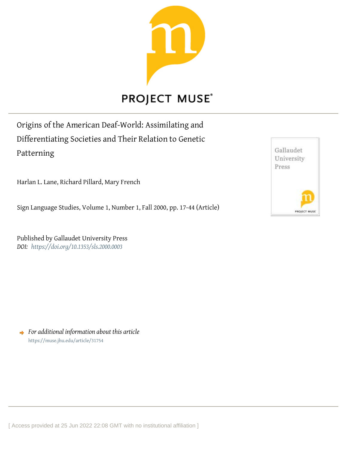

## **PROJECT MUSE®**

Origins of the American Deaf-World: Assimilating and Differentiating Societies and Their Relation to Genetic Patterning

Harlan L. Lane, Richard Pillard, Mary French

Sign Language Studies, Volume 1, Number 1, Fall 2000, pp. 17-44 (Article)

Published by Gallaudet University Press *DOI: <https://doi.org/10.1353/sls.2000.0003>*

*For additional information about this article* <https://muse.jhu.edu/article/31754>

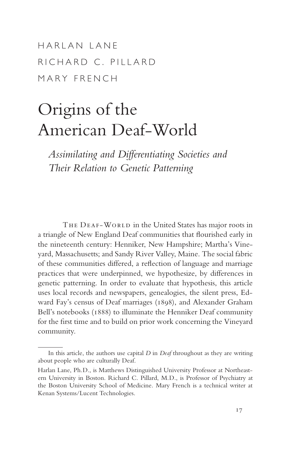### HARLAN LANE RICHARD C. PILLARD MARY FRENCH

# Origins of the American Deaf-World

*Assimilating and Differentiating Societies and Their Relation to Genetic Patterning*

THE DEAF-WORLD in the United States has major roots in a triangle of New England Deaf communities that flourished early in the nineteenth century: Henniker, New Hampshire; Martha's Vineyard, Massachusetts; and Sandy River Valley, Maine. The social fabric of these communities differed, a reflection of language and marriage practices that were underpinned, we hypothesize, by differences in genetic patterning. In order to evaluate that hypothesis, this article uses local records and newspapers, genealogies, the silent press, Edward Fay's census of Deaf marriages (1898), and Alexander Graham Bell's notebooks (1888) to illuminate the Henniker Deaf community for the first time and to build on prior work concerning the Vineyard community.

In this article, the authors use capital *D* in *Deaf* throughout as they are writing about people who are culturally Deaf.

Harlan Lane, Ph.D., is Matthews Distinguished University Professor at Northeastern University in Boston. Richard C. Pillard, M.D., is Professor of Psychiatry at the Boston University School of Medicine. Mary French is a technical writer at Kenan Systems/Lucent Technologies.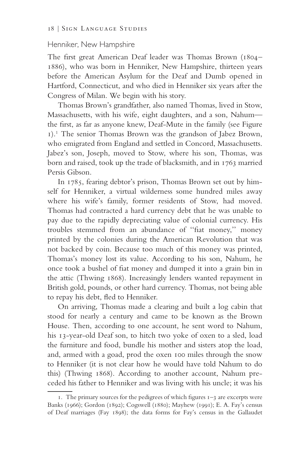#### Henniker, New Hampshire

The first great American Deaf leader was Thomas Brown (1804-), who was born in Henniker, New Hampshire, thirteen years before the American Asylum for the Deaf and Dumb opened in Hartford, Connecticut, and who died in Henniker six years after the Congress of Milan. We begin with his story.

Thomas Brown's grandfather, also named Thomas, lived in Stow, Massachusetts, with his wife, eight daughters, and a son, Nahum the first, as far as anyone knew, Deaf-Mute in the family (see Figure ).1 The senior Thomas Brown was the grandson of Jabez Brown, who emigrated from England and settled in Concord, Massachusetts. Jabez's son, Joseph, moved to Stow, where his son, Thomas, was born and raised, took up the trade of blacksmith, and in 1763 married Persis Gibson.

In 1785, fearing debtor's prison, Thomas Brown set out by himself for Henniker, a virtual wilderness some hundred miles away where his wife's family, former residents of Stow, had moved. Thomas had contracted a hard currency debt that he was unable to pay due to the rapidly depreciating value of colonial currency. His troubles stemmed from an abundance of ''fiat money,'' money printed by the colonies during the American Revolution that was not backed by coin. Because too much of this money was printed, Thomas's money lost its value. According to his son, Nahum, he once took a bushel of fiat money and dumped it into a grain bin in the attic (Thwing 1868). Increasingly lenders wanted repayment in British gold, pounds, or other hard currency. Thomas, not being able to repay his debt, fled to Henniker.

On arriving, Thomas made a clearing and built a log cabin that stood for nearly a century and came to be known as the Brown House. Then, according to one account, he sent word to Nahum, his 13-year-old Deaf son, to hitch two yoke of oxen to a sled, load the furniture and food, bundle his mother and sisters atop the load, and, armed with a goad, prod the oxen 100 miles through the snow to Henniker (it is not clear how he would have told Nahum to do this) (Thwing 1868). According to another account, Nahum preceded his father to Henniker and was living with his uncle; it was his

 $I.$  The primary sources for the pedigrees of which figures  $I - 3$  are excerpts were Banks (1966); Gordon (1892); Cogswell (1880); Mayhew (1991); E. A. Fay's census of Deaf marriages (Fay 1898); the data forms for Fay's census in the Gallaudet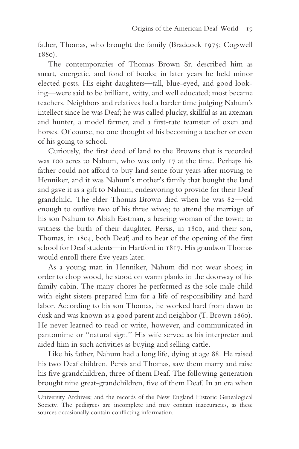father, Thomas, who brought the family (Braddock 1975; Cogswell 1880).

The contemporaries of Thomas Brown Sr. described him as smart, energetic, and fond of books; in later years he held minor elected posts. His eight daughters—tall, blue-eyed, and good looking—were said to be brilliant, witty, and well educated; most became teachers. Neighbors and relatives had a harder time judging Nahum's intellect since he was Deaf; he was called plucky, skillful as an axeman and hunter, a model farmer, and a first-rate teamster of oxen and horses. Of course, no one thought of his becoming a teacher or even of his going to school.

Curiously, the first deed of land to the Browns that is recorded was 100 acres to Nahum, who was only 17 at the time. Perhaps his father could not afford to buy land some four years after moving to Henniker, and it was Nahum's mother's family that bought the land and gave it as a gift to Nahum, endeavoring to provide for their Deaf grandchild. The elder Thomas Brown died when he was 82-old enough to outlive two of his three wives; to attend the marriage of his son Nahum to Abiah Eastman, a hearing woman of the town; to witness the birth of their daughter, Persis, in 1800, and their son, Thomas, in 1804, both Deaf; and to hear of the opening of the first school for Deaf students—in Hartford in 1817. His grandson Thomas would enroll there five years later.

As a young man in Henniker, Nahum did not wear shoes; in order to chop wood, he stood on warm planks in the doorway of his family cabin. The many chores he performed as the sole male child with eight sisters prepared him for a life of responsibility and hard labor. According to his son Thomas, he worked hard from dawn to dusk and was known as a good parent and neighbor (T. Brown 1860). He never learned to read or write, however, and communicated in pantomime or ''natural sign.'' His wife served as his interpreter and aided him in such activities as buying and selling cattle.

Like his father, Nahum had a long life, dying at age 88. He raised his two Deaf children, Persis and Thomas, saw them marry and raise his five grandchildren, three of them Deaf. The following generation brought nine great-grandchildren, five of them Deaf. In an era when

University Archives; and the records of the New England Historic Genealogical Society. The pedigrees are incomplete and may contain inaccuracies, as these sources occasionally contain conflicting information.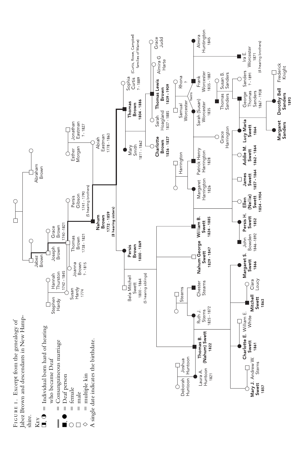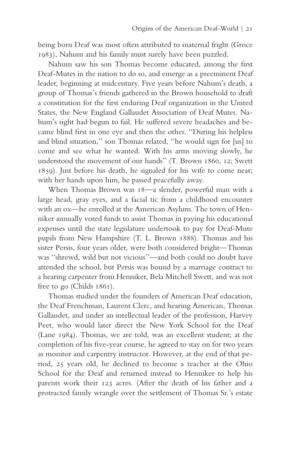being born Deaf was most often attributed to maternal fright (Groce ), Nahum and his family must surely have been puzzled.

Nahum saw his son Thomas become educated, among the first Deaf-Mutes in the nation to do so, and emerge as a preeminent Deaf leader, beginning at midcentury. Five years before Nahum's death, a group of Thomas's friends gathered in the Brown household to draft a constitution for the first enduring Deaf organization in the United States, the New England Gallaudet Association of Deaf Mutes. Nahum's sight had begun to fail. He suffered severe headaches and became blind first in one eye and then the other. ''During his helpless and blind situation,'' son Thomas related, ''he would sign for [us] to come and see what he wanted. With his arms moving slowly, he understood the movement of our hands" (T. Brown 1860, 12; Swett ). Just before his death, he signaled for his wife to come near; with her hands upon him, he passed peacefully away.

When Thomas Brown was  $18$ —a slender, powerful man with a large head, gray eyes, and a facial tic from a childhood encounter with an ox—he enrolled at the American Asylum. The town of Henniker annually voted funds to assist Thomas in paying his educational expenses until the state legislature undertook to pay for Deaf-Mute pupils from New Hampshire (T. L. Brown 1888). Thomas and his sister Persis, four years older, were both considered bright—Thomas was ''shrewd, wild but not vicious''—and both could no doubt have attended the school, but Persis was bound by a marriage contract to a hearing carpenter from Henniker, Bela Mitchell Swett, and was not free to go (Childs  $1861$ ).

Thomas studied under the founders of American Deaf education, the Deaf Frenchman, Laurent Clerc, and hearing American, Thomas Gallaudet, and under an intellectual leader of the profession, Harvey Peet, who would later direct the New York School for the Deaf (Lane  $1984$ ). Thomas, we are told, was an excellent student; at the completion of his five-year course, he agreed to stay on for two years as monitor and carpentry instructor. However, at the end of that period, 25 years old, he declined to become a teacher at the Ohio School for the Deaf and returned instead to Henniker to help his parents work their 123 acres. (After the death of his father and a protracted family wrangle over the settlement of Thomas Sr.'s estate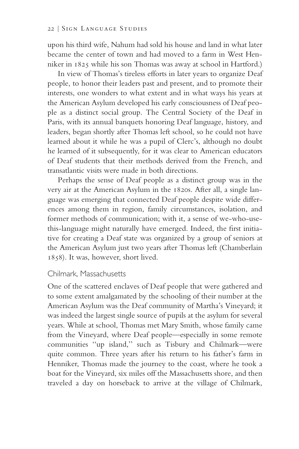upon his third wife, Nahum had sold his house and land in what later became the center of town and had moved to a farm in West Henniker in 1825 while his son Thomas was away at school in Hartford.)

In view of Thomas's tireless efforts in later years to organize Deaf people, to honor their leaders past and present, and to promote their interests, one wonders to what extent and in what ways his years at the American Asylum developed his early consciousness of Deaf people as a distinct social group. The Central Society of the Deaf in Paris, with its annual banquets honoring Deaf language, history, and leaders, began shortly after Thomas left school, so he could not have learned about it while he was a pupil of Clerc's, although no doubt he learned of it subsequently, for it was clear to American educators of Deaf students that their methods derived from the French, and transatlantic visits were made in both directions.

Perhaps the sense of Deaf people as a distinct group was in the very air at the American Asylum in the 1820s. After all, a single language was emerging that connected Deaf people despite wide differences among them in region, family circumstances, isolation, and former methods of communication; with it, a sense of we-who-usethis-language might naturally have emerged. Indeed, the first initiative for creating a Deaf state was organized by a group of seniors at the American Asylum just two years after Thomas left (Chamberlain ). It was, however, short lived.

#### Chilmark, Massachusetts

One of the scattered enclaves of Deaf people that were gathered and to some extent amalgamated by the schooling of their number at the American Asylum was the Deaf community of Martha's Vineyard; it was indeed the largest single source of pupils at the asylum for several years. While at school, Thomas met Mary Smith, whose family came from the Vineyard, where Deaf people—especially in some remote communities ''up island,'' such as Tisbury and Chilmark—were quite common. Three years after his return to his father's farm in Henniker, Thomas made the journey to the coast, where he took a boat for the Vineyard, six miles off the Massachusetts shore, and then traveled a day on horseback to arrive at the village of Chilmark,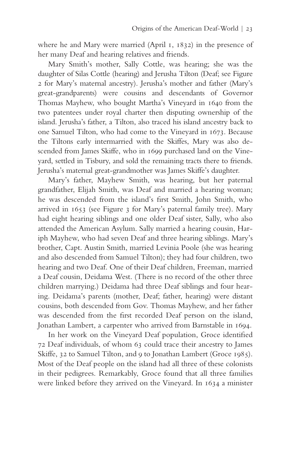where he and Mary were married (April  $I$ ,  $I832$ ) in the presence of her many Deaf and hearing relatives and friends.

Mary Smith's mother, Sally Cottle, was hearing; she was the daughter of Silas Cottle (hearing) and Jerusha Tilton (Deaf; see Figure for Mary's maternal ancestry). Jerusha's mother and father (Mary's great-grandparents) were cousins and descendants of Governor Thomas Mayhew, who bought Martha's Vineyard in 1640 from the two patentees under royal charter then disputing ownership of the island. Jerusha's father, a Tilton, also traced his island ancestry back to one Samuel Tilton, who had come to the Vineyard in 1673. Because the Tiltons early intermarried with the Skiffes, Mary was also descended from James Skiffe, who in 1699 purchased land on the Vineyard, settled in Tisbury, and sold the remaining tracts there to friends. Jerusha's maternal great-grandmother was James Skiffe's daughter.

Mary's father, Mayhew Smith, was hearing, but her paternal grandfather, Elijah Smith, was Deaf and married a hearing woman; he was descended from the island's first Smith, John Smith, who arrived in 1653 (see Figure 3 for Mary's paternal family tree). Mary had eight hearing siblings and one older Deaf sister, Sally, who also attended the American Asylum. Sally married a hearing cousin, Hariph Mayhew, who had seven Deaf and three hearing siblings. Mary's brother, Capt. Austin Smith, married Levinia Poole (she was hearing and also descended from Samuel Tilton); they had four children, two hearing and two Deaf. One of their Deaf children, Freeman, married a Deaf cousin, Deidama West. (There is no record of the other three children marrying.) Deidama had three Deaf siblings and four hearing. Deidama's parents (mother, Deaf; father, hearing) were distant cousins, both descended from Gov. Thomas Mayhew, and her father was descended from the first recorded Deaf person on the island, Jonathan Lambert, a carpenter who arrived from Barnstable in 1694.

In her work on the Vineyard Deaf population, Groce identified 72 Deaf individuals, of whom 63 could trace their ancestry to James Skiffe,  $32$  to Samuel Tilton, and  $9$  to Jonathan Lambert (Groce 1985). Most of the Deaf people on the island had all three of these colonists in their pedigrees. Remarkably, Groce found that all three families were linked before they arrived on the Vineyard. In 1634 a minister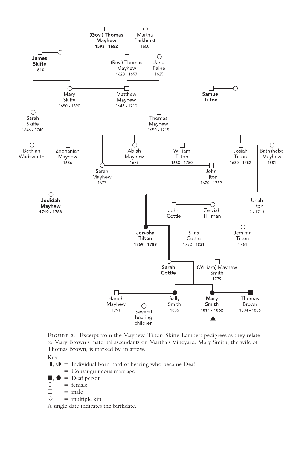

FIGURE 2. Excerpt from the Mayhew-Tilton-Skiffe-Lambert pedigrees as they relate to Mary Brown's maternal ascendants on Martha's Vineyard. Mary Smith, the wife of Thomas Brown, is marked by an arrow.

**KEY** 

- $\Box$ ,  $\Theta$  = Individual born hard of hearing who became Deaf
- Consanguineous marriage
- $\Box$ ,  $\bullet$  = Deaf person<br>  $\bigcirc$  = female
- $\bigcirc$  = female<br> $\bigcap$  = male
- $=$  male
- $\Diamond$  $=$  multiple kin

A single date indicates the birthdate.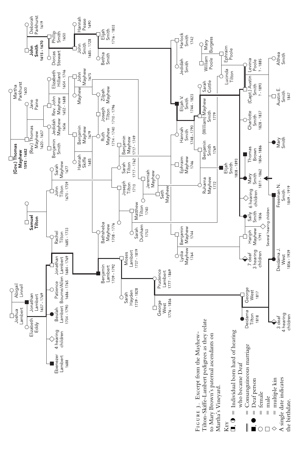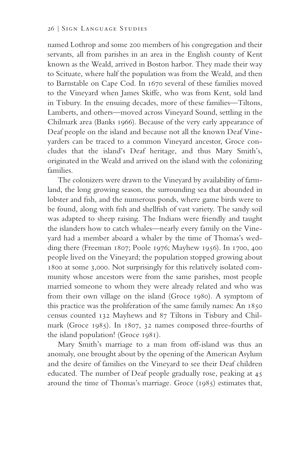named Lothrop and some 200 members of his congregation and their servants, all from parishes in an area in the English county of Kent known as the Weald, arrived in Boston harbor. They made their way to Scituate, where half the population was from the Weald, and then to Barnstable on Cape Cod. In 1670 several of these families moved to the Vineyard when James Skiffe, who was from Kent, sold land in Tisbury. In the ensuing decades, more of these families—Tiltons, Lamberts, and others—moved across Vineyard Sound, settling in the Chilmark area (Banks 1966). Because of the very early appearance of Deaf people on the island and because not all the known Deaf Vineyarders can be traced to a common Vineyard ancestor, Groce concludes that the island's Deaf heritage, and thus Mary Smith's, originated in the Weald and arrived on the island with the colonizing families.

The colonizers were drawn to the Vineyard by availability of farmland, the long growing season, the surrounding sea that abounded in lobster and fish, and the numerous ponds, where game birds were to be found, along with fish and shellfish of vast variety. The sandy soil was adapted to sheep raising. The Indians were friendly and taught the islanders how to catch whales—nearly every family on the Vineyard had a member aboard a whaler by the time of Thomas's wedding there (Freeman  $1807$ ; Poole  $1976$ ; Mayhew  $1956$ ). In  $1700, 400$ people lived on the Vineyard; the population stopped growing about 1800 at some 3,000. Not surprisingly for this relatively isolated community whose ancestors were from the same parishes, most people married someone to whom they were already related and who was from their own village on the island (Groce 1980). A symptom of this practice was the proliferation of the same family names: An census counted 132 Mayhews and 87 Tiltons in Tisbury and Chilmark (Groce  $1985$ ). In  $1807, 32$  names composed three-fourths of the island population! (Groce  $1981$ ).

Mary Smith's marriage to a man from off-island was thus an anomaly, one brought about by the opening of the American Asylum and the desire of families on the Vineyard to see their Deaf children educated. The number of Deaf people gradually rose, peaking at 45 around the time of Thomas's marriage. Groce  $(1985)$  estimates that,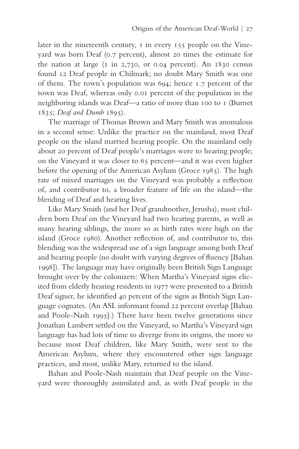later in the nineteenth century, I in every 155 people on the Vineyard was born Deaf (0.7 percent), almost 20 times the estimate for the nation at large ( $\overline{1}$  in 2,730, or 0.04 percent). An  $\overline{1830}$  census found 12 Deaf people in Chilmark; no doubt Mary Smith was one of them. The town's population was  $694$ ; hence  $1.7$  percent of the town was Deaf, whereas only 0.01 percent of the population in the neighboring islands was Deaf—a ratio of more than 100 to 1 (Burnet 1835; *Deaf and Dumb* 1895).

The marriage of Thomas Brown and Mary Smith was anomalous in a second sense: Unlike the practice on the mainland, most Deaf people on the island married hearing people. On the mainland only about 20 percent of Deaf people's marriages were to hearing people; on the Vineyard it was closer to 65 percent—and it was even higher before the opening of the American Asylum (Groce  $198\hat{ }$ ). The high rate of mixed marriages on the Vineyard was probably a reflection of, and contributor to, a broader feature of life on the island—the blending of Deaf and hearing lives.

Like Mary Smith (and her Deaf grandmother, Jerusha), most children born Deaf on the Vineyard had two hearing parents, as well as many hearing siblings, the more so as birth rates were high on the island (Groce 1980). Another reflection of, and contributor to, this blending was the widespread use of a sign language among both Deaf and hearing people (no doubt with varying degrees of fluency [Bahan 1998]). The language may have originally been British Sign Language brought over by the colonizers: When Martha's Vineyard signs elicited from elderly hearing residents in 1977 were presented to a British Deaf signer, he identified 40 percent of the signs as British Sign Language cognates. (An ASL informant found 22 percent overlap [Bahan and Poole-Nash 1995].) There have been twelve generations since Jonathan Lambert settled on the Vineyard, so Martha's Vineyard sign language has had lots of time to diverge from its origins, the more so because most Deaf children, like Mary Smith, were sent to the American Asylum, where they encountered other sign language practices, and most, unlike Mary, returned to the island.

Bahan and Poole-Nash maintain that Deaf people on the Vineyard were thoroughly assimilated and, as with Deaf people in the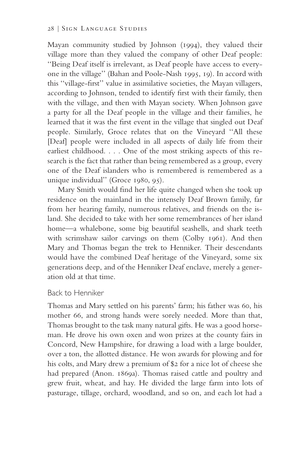Mayan community studied by Johnson (1994), they valued their village more than they valued the company of other Deaf people: ''Being Deaf itself is irrelevant, as Deaf people have access to everyone in the village" (Bahan and Poole-Nash 1995, 19). In accord with this ''village-first'' value in assimilative societies, the Mayan villagers, according to Johnson, tended to identify first with their family, then with the village, and then with Mayan society. When Johnson gave a party for all the Deaf people in the village and their families, he learned that it was the first event in the village that singled out Deaf people. Similarly, Groce relates that on the Vineyard ''All these [Deaf] people were included in all aspects of daily life from their earliest childhood. . . . One of the most striking aspects of this research is the fact that rather than being remembered as a group, every one of the Deaf islanders who is remembered is remembered as a unique individual" (Groce 1980, 95).

Mary Smith would find her life quite changed when she took up residence on the mainland in the intensely Deaf Brown family, far from her hearing family, numerous relatives, and friends on the island. She decided to take with her some remembrances of her island home—a whalebone, some big beautiful seashells, and shark teeth with scrimshaw sailor carvings on them (Colby 1961). And then Mary and Thomas began the trek to Henniker. Their descendants would have the combined Deaf heritage of the Vineyard, some six generations deep, and of the Henniker Deaf enclave, merely a generation old at that time.

#### Back to Henniker

Thomas and Mary settled on his parents' farm; his father was 60, his mother 66, and strong hands were sorely needed. More than that, Thomas brought to the task many natural gifts. He was a good horseman. He drove his own oxen and won prizes at the county fairs in Concord, New Hampshire, for drawing a load with a large boulder, over a ton, the allotted distance. He won awards for plowing and for his colts, and Mary drew a premium of \$2 for a nice lot of cheese she had prepared (Anon. 1869a). Thomas raised cattle and poultry and grew fruit, wheat, and hay. He divided the large farm into lots of pasturage, tillage, orchard, woodland, and so on, and each lot had a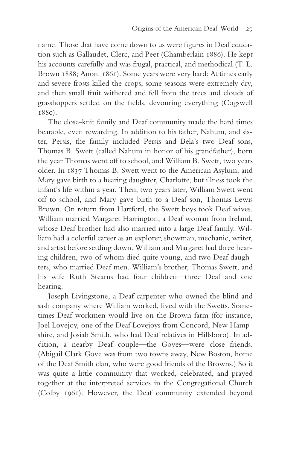name. Those that have come down to us were figures in Deaf education such as Gallaudet, Clerc, and Peet (Chamberlain 1886). He kept his accounts carefully and was frugal, practical, and methodical (T. L. Brown 1888; Anon. 1861). Some years were very hard: At times early and severe frosts killed the crops; some seasons were extremely dry, and then small fruit withered and fell from the trees and clouds of grasshoppers settled on the fields, devouring everything (Cogswell 1880).

The close-knit family and Deaf community made the hard times bearable, even rewarding. In addition to his father, Nahum, and sister, Persis, the family included Persis and Bela's two Deaf sons, Thomas B. Swett (called Nahum in honor of his grandfather), born the year Thomas went off to school, and William B. Swett, two years older. In 1837 Thomas B. Swett went to the American Asylum, and Mary gave birth to a hearing daughter, Charlotte, but illness took the infant's life within a year. Then, two years later, William Swett went off to school, and Mary gave birth to a Deaf son, Thomas Lewis Brown. On return from Hartford, the Swett boys took Deaf wives. William married Margaret Harrington, a Deaf woman from Ireland, whose Deaf brother had also married into a large Deaf family. William had a colorful career as an explorer, showman, mechanic, writer, and artist before settling down. William and Margaret had three hearing children, two of whom died quite young, and two Deaf daughters, who married Deaf men. William's brother, Thomas Swett, and his wife Ruth Stearns had four children—three Deaf and one hearing.

Joseph Livingstone, a Deaf carpenter who owned the blind and sash company where William worked, lived with the Swetts. Sometimes Deaf workmen would live on the Brown farm (for instance, Joel Lovejoy, one of the Deaf Lovejoys from Concord, New Hampshire, and Josiah Smith, who had Deaf relatives in Hillsboro). In addition, a nearby Deaf couple—the Goves—were close friends. (Abigail Clark Gove was from two towns away, New Boston, home of the Deaf Smith clan, who were good friends of the Browns.) So it was quite a little community that worked, celebrated, and prayed together at the interpreted services in the Congregational Church (Colby 1961). However, the Deaf community extended beyond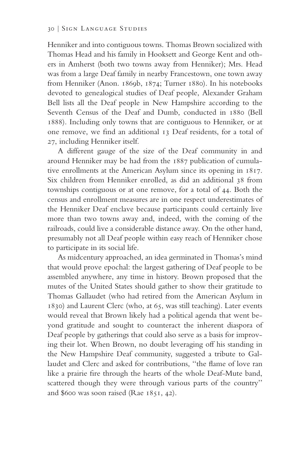Henniker and into contiguous towns. Thomas Brown socialized with Thomas Head and his family in Hooksett and George Kent and others in Amherst (both two towns away from Henniker); Mrs. Head was from a large Deaf family in nearby Francestown, one town away from Henniker (Anon. 1869b, 1874; Turner 1880). In his notebooks devoted to genealogical studies of Deaf people, Alexander Graham Bell lists all the Deaf people in New Hampshire according to the Seventh Census of the Deaf and Dumb, conducted in 1880 (Bell ). Including only towns that are contiguous to Henniker, or at one remove, we find an additional 13 Deaf residents, for a total of , including Henniker itself.

A different gauge of the size of the Deaf community in and around Henniker may be had from the 1887 publication of cumulative enrollments at the American Asylum since its opening in 1817. Six children from Henniker enrolled, as did an additional 38 from townships contiguous or at one remove, for a total of 44. Both the census and enrollment measures are in one respect underestimates of the Henniker Deaf enclave because participants could certainly live more than two towns away and, indeed, with the coming of the railroads, could live a considerable distance away. On the other hand, presumably not all Deaf people within easy reach of Henniker chose to participate in its social life.

As midcentury approached, an idea germinated in Thomas's mind that would prove epochal: the largest gathering of Deaf people to be assembled anywhere, any time in history. Brown proposed that the mutes of the United States should gather to show their gratitude to Thomas Gallaudet (who had retired from the American Asylum in 1830) and Laurent Clerc (who, at 65, was still teaching). Later events would reveal that Brown likely had a political agenda that went beyond gratitude and sought to counteract the inherent diaspora of Deaf people by gatherings that could also serve as a basis for improving their lot. When Brown, no doubt leveraging off his standing in the New Hampshire Deaf community, suggested a tribute to Gallaudet and Clerc and asked for contributions, ''the flame of love ran like a prairie fire through the hearts of the whole Deaf-Mute band, scattered though they were through various parts of the country'' and \$600 was soon raised (Rae  $1851, 42$ ).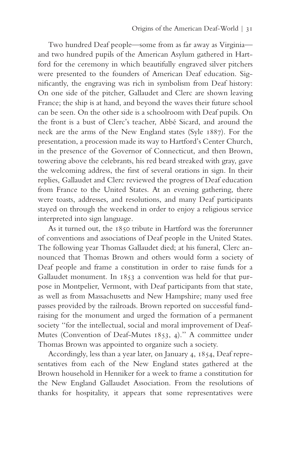Two hundred Deaf people—some from as far away as Virginia and two hundred pupils of the American Asylum gathered in Hartford for the ceremony in which beautifully engraved silver pitchers were presented to the founders of American Deaf education. Significantly, the engraving was rich in symbolism from Deaf history: On one side of the pitcher, Gallaudet and Clerc are shown leaving France; the ship is at hand, and beyond the waves their future school can be seen. On the other side is a schoolroom with Deaf pupils. On the front is a bust of Clerc's teacher, Abbe´ Sicard, and around the neck are the arms of the New England states (Syle 1887). For the presentation, a procession made its way to Hartford's Center Church, in the presence of the Governor of Connecticut, and then Brown, towering above the celebrants, his red beard streaked with gray, gave the welcoming address, the first of several orations in sign. In their replies, Gallaudet and Clerc reviewed the progress of Deaf education from France to the United States. At an evening gathering, there were toasts, addresses, and resolutions, and many Deaf participants stayed on through the weekend in order to enjoy a religious service interpreted into sign language.

As it turned out, the 1850 tribute in Hartford was the forerunner of conventions and associations of Deaf people in the United States. The following year Thomas Gallaudet died; at his funeral, Clerc announced that Thomas Brown and others would form a society of Deaf people and frame a constitution in order to raise funds for a Gallaudet monument. In  $1853$  a convention was held for that purpose in Montpelier, Vermont, with Deaf participants from that state, as well as from Massachusetts and New Hampshire; many used free passes provided by the railroads. Brown reported on successful fundraising for the monument and urged the formation of a permanent society ''for the intellectual, social and moral improvement of Deaf-Mutes (Convention of Deaf-Mutes 1853, 4)." A committee under Thomas Brown was appointed to organize such a society.

Accordingly, less than a year later, on January 4, 1854, Deaf representatives from each of the New England states gathered at the Brown household in Henniker for a week to frame a constitution for the New England Gallaudet Association. From the resolutions of thanks for hospitality, it appears that some representatives were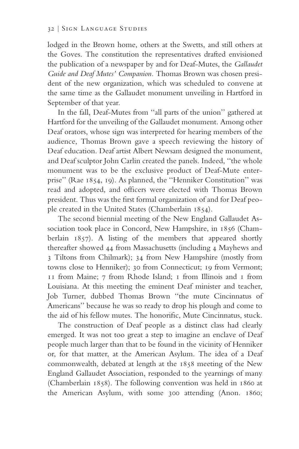lodged in the Brown home, others at the Swetts, and still others at the Goves. The constitution the representatives drafted envisioned the publication of a newspaper by and for Deaf-Mutes, the *Gallaudet Guide and Deaf Mutes' Companion.* Thomas Brown was chosen president of the new organization, which was scheduled to convene at the same time as the Gallaudet monument unveiling in Hartford in September of that year.

In the fall, Deaf-Mutes from ''all parts of the union'' gathered at Hartford for the unveiling of the Gallaudet monument. Among other Deaf orators, whose sign was interpreted for hearing members of the audience, Thomas Brown gave a speech reviewing the history of Deaf education. Deaf artist Albert Newsam designed the monument, and Deaf sculptor John Carlin created the panels. Indeed, ''the whole monument was to be the exclusive product of Deaf-Mute enterprise" (Rae 1854, 19). As planned, the "Henniker Constitution" was read and adopted, and officers were elected with Thomas Brown president. Thus was the first formal organization of and for Deaf people created in the United States (Chamberlain 1854).

The second biennial meeting of the New England Gallaudet Association took place in Concord, New Hampshire, in 1856 (Chamberlain  $1857$ ). A listing of the members that appeared shortly thereafter showed 44 from Massachusetts (including 4 Mayhews and 3 Tiltons from Chilmark); 34 from New Hampshire (mostly from towns close to Henniker); 30 from Connecticut; 19 from Vermont; II from Maine; 7 from Rhode Island; I from Illinois and I from Louisiana. At this meeting the eminent Deaf minister and teacher, Job Turner, dubbed Thomas Brown ''the mute Cincinnatus of Americans'' because he was so ready to drop his plough and come to the aid of his fellow mutes. The honorific, Mute Cincinnatus, stuck.

The construction of Deaf people as a distinct class had clearly emerged. It was not too great a step to imagine an enclave of Deaf people much larger than that to be found in the vicinity of Henniker or, for that matter, at the American Asylum. The idea of a Deaf commonwealth, debated at length at the  $1858$  meeting of the New England Gallaudet Association, responded to the yearnings of many (Chamberlain  $1858$ ). The following convention was held in  $1860$  at the American Asylum, with some 300 attending (Anon. 1860;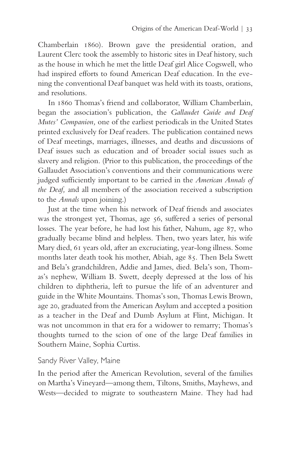Chamberlain 1860). Brown gave the presidential oration, and Laurent Clerc took the assembly to historic sites in Deaf history, such as the house in which he met the little Deaf girl Alice Cogswell, who had inspired efforts to found American Deaf education. In the evening the conventional Deaf banquet was held with its toasts, orations, and resolutions.

In 1860 Thomas's friend and collaborator, William Chamberlain, began the association's publication, the *Gallaudet Guide and Deaf Mutes' Companion,* one of the earliest periodicals in the United States printed exclusively for Deaf readers. The publication contained news of Deaf meetings, marriages, illnesses, and deaths and discussions of Deaf issues such as education and of broader social issues such as slavery and religion. (Prior to this publication, the proceedings of the Gallaudet Association's conventions and their communications were judged sufficiently important to be carried in the *American Annals of the Deaf,* and all members of the association received a subscription to the *Annals* upon joining.)

Just at the time when his network of Deaf friends and associates was the strongest yet, Thomas, age 56, suffered a series of personal losses. The year before, he had lost his father, Nahum, age 87, who gradually became blind and helpless. Then, two years later, his wife Mary died, 61 years old, after an excruciating, year-long illness. Some months later death took his mother, Abiah, age 85. Then Bela Swett and Bela's grandchildren, Addie and James, died. Bela's son, Thomas's nephew, William B. Swett, deeply depressed at the loss of his children to diphtheria, left to pursue the life of an adventurer and guide in the White Mountains. Thomas's son, Thomas Lewis Brown, age 20, graduated from the American Asylum and accepted a position as a teacher in the Deaf and Dumb Asylum at Flint, Michigan. It was not uncommon in that era for a widower to remarry; Thomas's thoughts turned to the scion of one of the large Deaf families in Southern Maine, Sophia Curtiss.

#### Sandy River Valley, Maine

In the period after the American Revolution, several of the families on Martha's Vineyard—among them, Tiltons, Smiths, Mayhews, and Wests—decided to migrate to southeastern Maine. They had had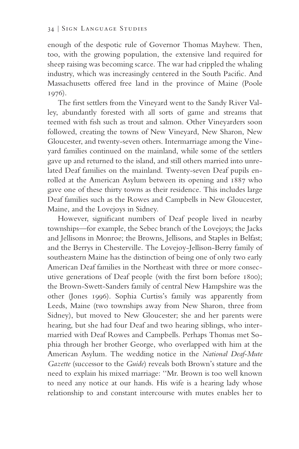enough of the despotic rule of Governor Thomas Mayhew. Then, too, with the growing population, the extensive land required for sheep raising was becoming scarce. The war had crippled the whaling industry, which was increasingly centered in the South Pacific. And Massachusetts offered free land in the province of Maine (Poole 1976).

The first settlers from the Vineyard went to the Sandy River Valley, abundantly forested with all sorts of game and streams that teemed with fish such as trout and salmon. Other Vineyarders soon followed, creating the towns of New Vineyard, New Sharon, New Gloucester, and twenty-seven others. Intermarriage among the Vineyard families continued on the mainland, while some of the settlers gave up and returned to the island, and still others married into unrelated Deaf families on the mainland. Twenty-seven Deaf pupils enrolled at the American Asylum between its opening and 1887 who gave one of these thirty towns as their residence. This includes large Deaf families such as the Rowes and Campbells in New Gloucester, Maine, and the Lovejoys in Sidney.

However, significant numbers of Deaf people lived in nearby townships—for example, the Sebec branch of the Lovejoys; the Jacks and Jellisons in Monroe; the Browns, Jellisons, and Staples in Belfast; and the Berrys in Chesterville. The Lovejoy-Jellison-Berry family of southeastern Maine has the distinction of being one of only two early American Deaf families in the Northeast with three or more consecutive generations of Deaf people (with the first born before 1800); the Brown-Swett-Sanders family of central New Hampshire was the other (Jones 1996). Sophia Curtiss's family was apparently from Leeds, Maine (two townships away from New Sharon, three from Sidney), but moved to New Gloucester; she and her parents were hearing, but she had four Deaf and two hearing siblings, who intermarried with Deaf Rowes and Campbells. Perhaps Thomas met Sophia through her brother George, who overlapped with him at the American Asylum. The wedding notice in the *National Deaf-Mute Gazette* (successor to the *Guide*) reveals both Brown's stature and the need to explain his mixed marriage: ''Mr. Brown is too well known to need any notice at our hands. His wife is a hearing lady whose relationship to and constant intercourse with mutes enables her to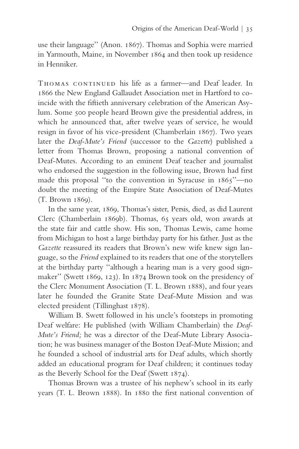use their language" (Anon. 1867). Thomas and Sophia were married in Yarmouth, Maine, in November 1864 and then took up residence in Henniker.

THOMAS CONTINUED his life as a farmer—and Deaf leader. In 1866 the New England Gallaudet Association met in Hartford to coincide with the fiftieth anniversary celebration of the American Asylum. Some 500 people heard Brown give the presidential address, in which he announced that, after twelve years of service, he would resign in favor of his vice-president (Chamberlain 1867). Two years later the *Deaf-Mute's Friend* (successor to the *Gazette*) published a letter from Thomas Brown, proposing a national convention of Deaf-Mutes. According to an eminent Deaf teacher and journalist who endorsed the suggestion in the following issue, Brown had first made this proposal "to the convention in Syracuse in  $1865$ "-no doubt the meeting of the Empire State Association of Deaf-Mutes (T. Brown 1869).

In the same year, 1869, Thomas's sister, Persis, died, as did Laurent Clerc (Chamberlain 1869b). Thomas, 65 years old, won awards at the state fair and cattle show. His son, Thomas Lewis, came home from Michigan to host a large birthday party for his father. Just as the *Gazette* reassured its readers that Brown's new wife knew sign language, so the *Friend* explained to its readers that one of the storytellers at the birthday party ''although a hearing man is a very good signmaker" (Swett  $1869$ ,  $123$ ). In  $1874$  Brown took on the presidency of the Clerc Monument Association (T. L. Brown 1888), and four years later he founded the Granite State Deaf-Mute Mission and was elected president (Tillinghast 1878).

William B. Swett followed in his uncle's footsteps in promoting Deaf welfare: He published (with William Chamberlain) the *Deaf-Mute's Friend;* he was a director of the Deaf-Mute Library Association; he was business manager of the Boston Deaf-Mute Mission; and he founded a school of industrial arts for Deaf adults, which shortly added an educational program for Deaf children; it continues today as the Beverly School for the Deaf (Swett  $1874$ ).

Thomas Brown was a trustee of his nephew's school in its early years (T. L. Brown 1888). In 1880 the first national convention of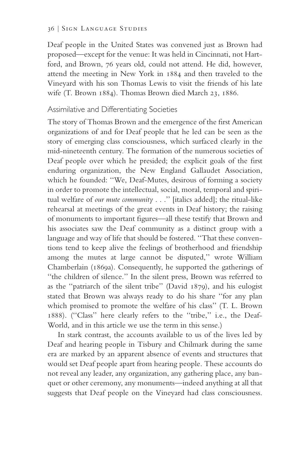Deaf people in the United States was convened just as Brown had proposed—except for the venue: It was held in Cincinnati, not Hartford, and Brown, 76 years old, could not attend. He did, however, attend the meeting in New York in 1884 and then traveled to the Vineyard with his son Thomas Lewis to visit the friends of his late wife (T. Brown 1884). Thomas Brown died March 23, 1886.

#### Assimilative and Differentiating Societies

The story of Thomas Brown and the emergence of the first American organizations of and for Deaf people that he led can be seen as the story of emerging class consciousness, which surfaced clearly in the mid-nineteenth century. The formation of the numerous societies of Deaf people over which he presided; the explicit goals of the first enduring organization, the New England Gallaudet Association, which he founded: ''We, Deaf-Mutes, desirous of forming a society in order to promote the intellectual, social, moral, temporal and spiritual welfare of *our mute community* . . .'' [italics added]; the ritual-like rehearsal at meetings of the great events in Deaf history; the raising of monuments to important figures—all these testify that Brown and his associates saw the Deaf community as a distinct group with a language and way of life that should be fostered. ''That these conventions tend to keep alive the feelings of brotherhood and friendship among the mutes at large cannot be disputed,'' wrote William Chamberlain (1869a). Consequently, he supported the gatherings of ''the children of silence.'' In the silent press, Brown was referred to as the "patriarch of the silent tribe" (David  $1879$ ), and his eulogist stated that Brown was always ready to do his share ''for any plan which promised to promote the welfare of his class'' (T. L. Brown ). (''Class'' here clearly refers to the ''tribe,'' i.e., the Deaf-World, and in this article we use the term in this sense.)

In stark contrast, the accounts available to us of the lives led by Deaf and hearing people in Tisbury and Chilmark during the same era are marked by an apparent absence of events and structures that would set Deaf people apart from hearing people. These accounts do not reveal any leader, any organization, any gathering place, any banquet or other ceremony, any monuments—indeed anything at all that suggests that Deaf people on the Vineyard had class consciousness.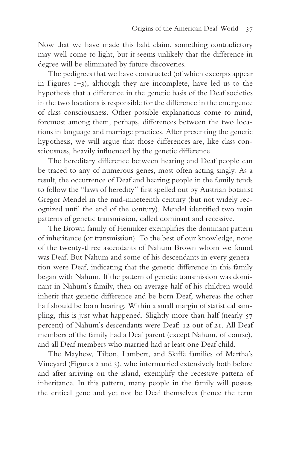Now that we have made this bald claim, something contradictory may well come to light, but it seems unlikely that the difference in degree will be eliminated by future discoveries.

The pedigrees that we have constructed (of which excerpts appear in Figures  $I_{3}$ , although they are incomplete, have led us to the hypothesis that a difference in the genetic basis of the Deaf societies in the two locations is responsible for the difference in the emergence of class consciousness. Other possible explanations come to mind, foremost among them, perhaps, differences between the two locations in language and marriage practices. After presenting the genetic hypothesis, we will argue that those differences are, like class consciousness, heavily influenced by the genetic difference.

The hereditary difference between hearing and Deaf people can be traced to any of numerous genes, most often acting singly. As a result, the occurrence of Deaf and hearing people in the family tends to follow the ''laws of heredity'' first spelled out by Austrian botanist Gregor Mendel in the mid-nineteenth century (but not widely recognized until the end of the century). Mendel identified two main patterns of genetic transmission, called dominant and recessive.

The Brown family of Henniker exemplifies the dominant pattern of inheritance (or transmission). To the best of our knowledge, none of the twenty-three ascendants of Nahum Brown whom we found was Deaf. But Nahum and some of his descendants in every generation were Deaf, indicating that the genetic difference in this family began with Nahum. If the pattern of genetic transmission was dominant in Nahum's family, then on average half of his children would inherit that genetic difference and be born Deaf, whereas the other half should be born hearing. Within a small margin of statistical sampling, this is just what happened. Slightly more than half (nearly 57 percent) of Nahum's descendants were Deaf: 12 out of 21. All Deaf members of the family had a Deaf parent (except Nahum, of course), and all Deaf members who married had at least one Deaf child.

The Mayhew, Tilton, Lambert, and Skiffe families of Martha's Vineyard (Figures 2 and 3), who intermarried extensively both before and after arriving on the island, exemplify the recessive pattern of inheritance. In this pattern, many people in the family will possess the critical gene and yet not be Deaf themselves (hence the term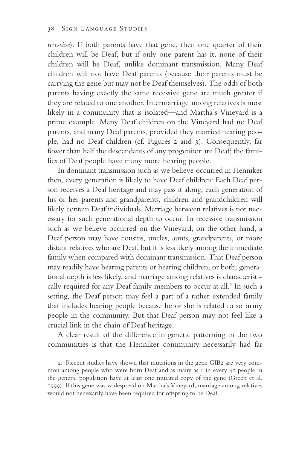*recessive*). If both parents have that gene, then one quarter of their children will be Deaf, but if only one parent has it, none of their children will be Deaf, unlike dominant transmission. Many Deaf children will not have Deaf parents (because their parents must be carrying the gene but may not be Deaf themselves). The odds of both parents having exactly the same recessive gene are much greater if they are related to one another. Intermarriage among relatives is most likely in a community that is isolated—and Martha's Vineyard is a prime example. Many Deaf children on the Vineyard had no Deaf parents, and many Deaf parents, provided they married hearing people, had no Deaf children (cf. Figures 2 and 3). Consequently, far fewer than half the descendants of any progenitor are Deaf; the families of Deaf people have many more hearing people.

In dominant transmission such as we believe occurred in Henniker then, every generation is likely to have Deaf children: Each Deaf person receives a Deaf heritage and may pass it along; each generation of his or her parents and grandparents, children and grandchildren will likely contain Deaf individuals. Marriage between relatives is not necessary for such generational depth to occur. In recessive transmission such as we believe occurred on the Vineyard, on the other hand, a Deaf person may have cousins, uncles, aunts, grandparents, or more distant relatives who are Deaf, but it is less likely among the immediate family when compared with dominant transmission. That Deaf person may readily have hearing parents or hearing children, or both; generational depth is less likely, and marriage among relatives is characteristically required for any Deaf family members to occur at all.2 In such a setting, the Deaf person may feel a part of a rather extended family that includes hearing people because he or she is related to so many people in the community. But that Deaf person may not feel like a crucial link in the chain of Deaf heritage.

A clear result of the difference in genetic patterning in the two communities is that the Henniker community necessarily had far

<sup>2.</sup> Recent studies have shown that mutations in the gene GJB2 are very common among people who were born Deaf and as many as I in every 40 people in the general population have at least one mutated copy of the gene (Green et al. ). If this gene was widespread on Martha's Vineyard, marriage among relatives would not necessarily have been required for offspring to be Deaf.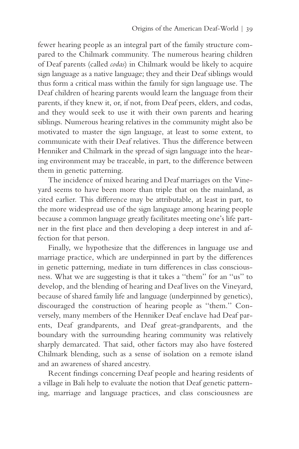fewer hearing people as an integral part of the family structure compared to the Chilmark community. The numerous hearing children of Deaf parents (called *codas*) in Chilmark would be likely to acquire sign language as a native language; they and their Deaf siblings would thus form a critical mass within the family for sign language use. The Deaf children of hearing parents would learn the language from their parents, if they knew it, or, if not, from Deaf peers, elders, and codas, and they would seek to use it with their own parents and hearing siblings. Numerous hearing relatives in the community might also be motivated to master the sign language, at least to some extent, to communicate with their Deaf relatives. Thus the difference between Henniker and Chilmark in the spread of sign language into the hearing environment may be traceable, in part, to the difference between them in genetic patterning.

The incidence of mixed hearing and Deaf marriages on the Vineyard seems to have been more than triple that on the mainland, as cited earlier. This difference may be attributable, at least in part, to the more widespread use of the sign language among hearing people because a common language greatly facilitates meeting one's life partner in the first place and then developing a deep interest in and affection for that person.

Finally, we hypothesize that the differences in language use and marriage practice, which are underpinned in part by the differences in genetic patterning, mediate in turn differences in class consciousness. What we are suggesting is that it takes a ''them'' for an ''us'' to develop, and the blending of hearing and Deaf lives on the Vineyard, because of shared family life and language (underpinned by genetics), discouraged the construction of hearing people as ''them.'' Conversely, many members of the Henniker Deaf enclave had Deaf parents, Deaf grandparents, and Deaf great-grandparents, and the boundary with the surrounding hearing community was relatively sharply demarcated. That said, other factors may also have fostered Chilmark blending, such as a sense of isolation on a remote island and an awareness of shared ancestry.

Recent findings concerning Deaf people and hearing residents of a village in Bali help to evaluate the notion that Deaf genetic patterning, marriage and language practices, and class consciousness are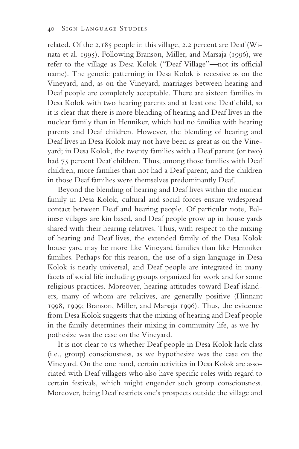related. Of the 2,185 people in this village, 2.2 percent are Deaf (Winata et al. 1995). Following Branson, Miller, and Marsaja (1996), we refer to the village as Desa Kolok (''Deaf Village''—not its official name). The genetic patterning in Desa Kolok is recessive as on the Vineyard, and, as on the Vineyard, marriages between hearing and Deaf people are completely acceptable. There are sixteen families in Desa Kolok with two hearing parents and at least one Deaf child, so it is clear that there is more blending of hearing and Deaf lives in the nuclear family than in Henniker, which had no families with hearing parents and Deaf children. However, the blending of hearing and Deaf lives in Desa Kolok may not have been as great as on the Vineyard; in Desa Kolok, the twenty families with a Deaf parent (or two) had 75 percent Deaf children. Thus, among those families with Deaf children, more families than not had a Deaf parent, and the children in those Deaf families were themselves predominantly Deaf.

Beyond the blending of hearing and Deaf lives within the nuclear family in Desa Kolok, cultural and social forces ensure widespread contact between Deaf and hearing people. Of particular note, Balinese villages are kin based, and Deaf people grow up in house yards shared with their hearing relatives. Thus, with respect to the mixing of hearing and Deaf lives, the extended family of the Desa Kolok house yard may be more like Vineyard families than like Henniker families. Perhaps for this reason, the use of a sign language in Desa Kolok is nearly universal, and Deaf people are integrated in many facets of social life including groups organized for work and for some religious practices. Moreover, hearing attitudes toward Deaf islanders, many of whom are relatives, are generally positive (Hinnant 1998, 1999; Branson, Miller, and Marsaja 1996). Thus, the evidence from Desa Kolok suggests that the mixing of hearing and Deaf people in the family determines their mixing in community life, as we hypothesize was the case on the Vineyard.

It is not clear to us whether Deaf people in Desa Kolok lack class (i.e., group) consciousness, as we hypothesize was the case on the Vineyard. On the one hand, certain activities in Desa Kolok are associated with Deaf villagers who also have specific roles with regard to certain festivals, which might engender such group consciousness. Moreover, being Deaf restricts one's prospects outside the village and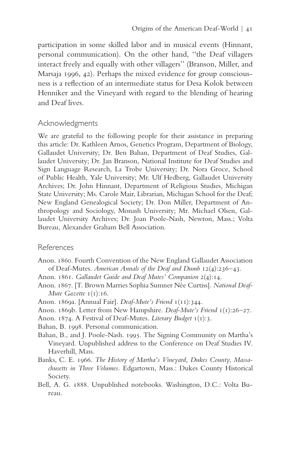participation in some skilled labor and in musical events (Hinnant, personal communication). On the other hand, ''the Deaf villagers interact freely and equally with other villagers'' (Branson, Miller, and Marsaja 1996, 42). Perhaps the mixed evidence for group consciousness is a reflection of an intermediate status for Desa Kolok between Henniker and the Vineyard with regard to the blending of hearing and Deaf lives.

#### Acknowledgments

We are grateful to the following people for their assistance in preparing this article: Dr. Kathleen Arnos, Genetics Program, Department of Biology, Gallaudet University; Dr. Ben Bahan, Department of Deaf Studies, Gallaudet University; Dr. Jan Branson, National Institute for Deaf Studies and Sign Language Research, La Trobe University; Dr. Nora Groce, School of Public Health, Yale University; Mr. Ulf Hedberg, Gallaudet University Archives; Dr. John Hinnant, Department of Religious Studies, Michigan State University; Ms. Carole Mair, Librarian, Michigan School for the Deaf; New England Genealogical Society; Dr. Don Miller, Department of Anthropology and Sociology, Monash University; Mr. Michael Olsen, Gallaudet University Archives; Dr. Joan Poole-Nash, Newton, Mass.; Volta Bureau, Alexander Graham Bell Association.

#### References

- Anon. 1860. Fourth Convention of the New England Gallaudet Association of Deaf-Mutes. *American Annals of the Deaf and Dumb*  $12(4):236-43$ .
- Anon. 1861. Gallaudet Guide and Deaf Mutes' Companion 2(4):14.
- Anon. 1867. [T. Brown Marries Sophia Sumner Née Curtiss]. *National Deaf-Mute Gazette*  $I(I):I6$ .
- Anon. 1869a. [Annual Fair]. *Deaf-Mute's Friend* 1(11):344.
- Anon. 1869b. Letter from New Hampshire. *Deaf-Mute's Friend* 1(1):26-27.
- Anon. 1874. A Festival of Deaf-Mutes. *Literary Budget* 1(1):3.

Bahan, B. 1998. Personal communication.

- Bahan, B., and J. Poole-Nash. 1995. The Signing Community on Martha's Vineyard. Unpublished address to the Conference on Deaf Studies IV. Haverhill, Mass.
- Banks, C. E. . *The History of Martha's Vineyard, Dukes County, Massachusetts in Three Volumes.* Edgartown, Mass.: Dukes County Historical Society.
- Bell, A. G. 1888. Unpublished notebooks. Washington, D.C.: Volta Bureau.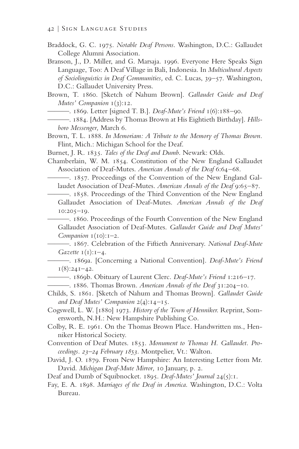- Braddock, G. C. . *Notable Deaf Persons*. Washington, D.C.: Gallaudet College Alumni Association.
- Branson, J., D. Miller, and G. Marsaja. 1996. Everyone Here Speaks Sign Language, Too: A Deaf Village in Bali, Indonesia. In *Multicultural Aspects of Sociolinguistics in Deaf Communities, ed. C. Lucas, 39-57. Washington,* D.C.: Gallaudet University Press.
- Brown, T. 1860. [Sketch of Nahum Brown]. *Gallaudet Guide and Deaf Mutes' Companion*  $I(3):I2$ .
	- ——. 1869. Letter [signed T. B.]. *Deaf-Mute's Friend* 1(6):188-90.
- ———. . [Address by Thomas Brown at His Eightieth Birthday]. *Hillsboro Messenger*, March 6.
- Brown, T. L. 1888. In Memoriam: A Tribute to the Memory of Thomas Brown. Flint, Mich.: Michigan School for the Deaf.
- Burnet, J. R. . *Tales of the Deaf and Dumb*. Newark: Olds.
- Chamberlain, W. M. 1854. Constitution of the New England Gallaudet Association of Deaf-Mutes. *American Annals of the Deaf* 6:64-68.
- ———. . Proceedings of the Convention of the New England Gallaudet Association of Deaf-Mutes. *American Annals of the Deaf* 9:65-87.
- ———. . Proceedings of the Third Convention of the New England Gallaudet Association of Deaf-Mutes. *American Annals of the Deaf*  $10:205 - 19.$ 
	- ———. . Proceedings of the Fourth Convention of the New England Gallaudet Association of Deaf-Mutes. *Gallaudet Guide and Deaf Mutes' Companion*  $I(10):I-2$ .
- ———. . Celebration of the Fiftieth Anniversary. *National Deaf-Mute*  $Gazette I(I):I=4.$
- ———. a. [Concerning a National Convention]. *Deaf-Mute's Friend*  $I(8):24I-42.$
- ———. 1869b. Obituary of Laurent Clerc. *Deaf-Mute's Friend* 1:216-17.

<sup>2</sup> Thomas Brown. *American Annals of the Deaf* 31:204-10.

- Childs, S. . [Sketch of Nahum and Thomas Brown]. *Gallaudet Guide* and Deaf Mutes' Companion  $2(4):14-15$ .
- Cogswell, L. W. [1880] 1973. History of the Town of Henniker. Reprint, Somersworth, N.H.: New Hampshire Publishing Co.
- Colby, R. E. 1961. On the Thomas Brown Place. Handwritten ms., Henniker Historical Society.
- Convention of Deaf Mutes. 1853. Monument to Thomas H. Gallaudet. Pro*ceedings. – February .* Montpelier, Vt.: Walton.
- David, J. O. 1879. From New Hampshire: An Interesting Letter from Mr. David. *Michigan Deaf-Mute Mirror*, 10 January, p. 2.
- Deaf and Dumb of Squibnocket. 1895. Deaf-Mutes' Journal 24(5):1.
- Fay, E. A. . *Marriages of the Deaf in America*. Washington, D.C.: Volta Bureau.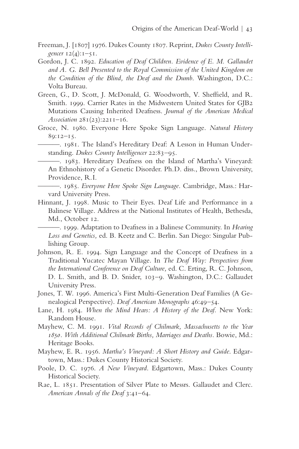- Freeman, J. [1807] 1976. Dukes County 1807. Reprint, *Dukes County Intelligencer*  $12(4):I-5I$ .
- Gordon, J. C. . *Education of Deaf Children. Evidence of E. M. Gallaudet and A. G. Bell Presented to the Royal Commission of the United Kingdom on the Condition of the Blind, the Deaf and the Dumb*. Washington, D.C.: Volta Bureau.
- Green, G., D. Scott, J. McDonald, G. Woodworth, V. Sheffield, and R. Smith. 1999. Carrier Rates in the Midwestern United States for GJB2 Mutations Causing Inherited Deafness. *Journal of the American Medical*  $A$ *ssociation*  $28I(23):22II-16$ .
- Groce, N. 1980. Everyone Here Spoke Sign Language. *Natural History*  $89:12-15$ .

———. . The Island's Hereditary Deaf: A Lesson in Human Understanding. Dukes County Intelligencer 22:83-95.

———. . Hereditary Deafness on the Island of Martha's Vineyard: An Ethnohistory of a Genetic Disorder. Ph.D. diss., Brown University, Providence, R.I.

———. . *Everyone Here Spoke Sign Language.* Cambridge, Mass.: Harvard University Press.

Hinnant, J. 1998. Music to Their Eyes. Deaf Life and Performance in a Balinese Village. Address at the National Institutes of Health, Bethesda, Md., October 12.

———. . Adaptation to Deafness in a Balinese Community. In *Hearing Loss and Genetics,* ed. B. Keetz and C. Berlin. San Diego: Singular Publishing Group.

- Johnson, R. E. 1994. Sign Language and the Concept of Deafness in a Traditional Yucatec Mayan Village. In *The Deaf Way: Perspectives from the International Conference on Deaf Culture,* ed. C. Erting, R. C. Johnson, D. L. Smith, and B. D. Snider, 103-9. Washington, D.C.: Gallaudet University Press.
- Jones, T. W. 1996. America's First Multi-Generation Deaf Families (A Genealogical Perspective). *Deaf American Monographs* 46:49-54.
- Lane, H. 1984. When the Mind Hears: A History of the Deaf. New York: Random House.
- Mayhew, C. M. . *Vital Records of Chilmark, Massachusetts to the Year . With Additional Chilmark Births, Marriages and Deaths.* Bowie, Md.: Heritage Books.
- Mayhew, E. R. . *Martha's Vineyard: A Short History and Guide*. Edgartown, Mass.: Dukes County Historical Society.
- Poole, D. C. 1976. A New Vineyard. Edgartown, Mass.: Dukes County Historical Society.
- Rae, L. 1851. Presentation of Silver Plate to Messrs. Gallaudet and Clerc. *American Annals of the Deaf* 3:41-64.